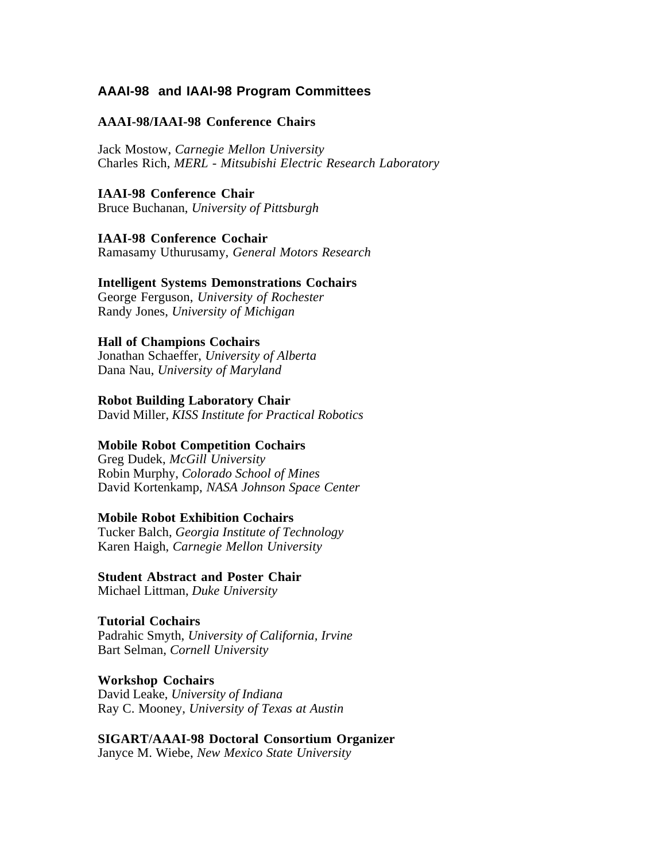## **AAAI-98 and IAAI-98 Program Committees**

## **AAAI-98/IAAI-98 Conference Chairs**

Jack Mostow, *Carnegie Mellon University* Charles Rich, *MERL - Mitsubishi Electric Research Laboratory*

### **IAAI-98 Conference Chair**

Bruce Buchanan, *University of Pittsburgh*

### **IAAI-98 Conference Cochair**

Ramasamy Uthurusamy, *General Motors Research*

### **Intelligent Systems Demonstrations Cochairs**

George Ferguson, *University of Rochester* Randy Jones, *University of Michigan*

### **Hall of Champions Cochairs**

Jonathan Schaeffer, *University of Alberta* Dana Nau, *University of Maryland*

### **Robot Building Laboratory Chair**

David Miller, *KISS Institute for Practical Robotics*

## **Mobile Robot Competition Cochairs**

Greg Dudek, *McGill University* Robin Murphy, *Colorado School of Mines* David Kortenkamp, *NASA Johnson Space Center*

### **Mobile Robot Exhibition Cochairs**

Tucker Balch, *Georgia Institute of Technology* Karen Haigh, *Carnegie Mellon University*

## **Student Abstract and Poster Chair**

Michael Littman, *Duke University*

### **Tutorial Cochairs**

Padrahic Smyth, *University of California, Irvine* Bart Selman, *Cornell University*

### **Workshop Cochairs**

David Leake, *University of Indiana* Ray C. Mooney, *University of Texas at Austin*

## **SIGART/AAAI-98 Doctoral Consortium Organizer**

Janyce M. Wiebe, *New Mexico State University*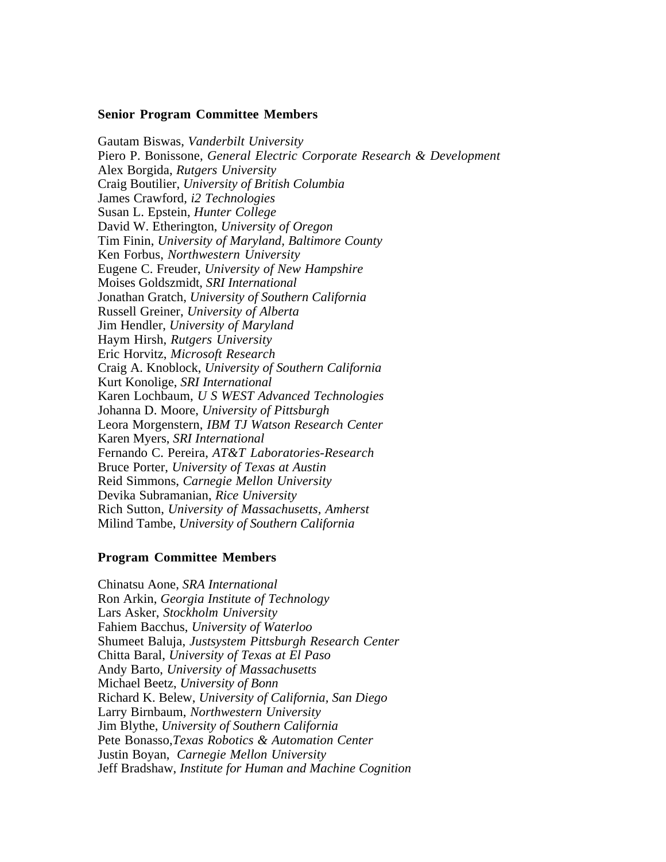### **Senior Program Committee Members**

Gautam Biswas, *Vanderbilt University* Piero P. Bonissone, *General Electric Corporate Research & Development* Alex Borgida, *Rutgers University* Craig Boutilier, *University of British Columbia* James Crawford, *i2 Technologies* Susan L. Epstein, *Hunter College* David W. Etherington, *University of Oregon* Tim Finin, *University of Maryland, Baltimore County* Ken Forbus, *Northwestern University* Eugene C. Freuder, *University of New Hampshire* Moises Goldszmidt, *SRI International* Jonathan Gratch, *University of Southern California* Russell Greiner, *University of Alberta* Jim Hendler, *University of Maryland* Haym Hirsh, *Rutgers University* Eric Horvitz, *Microsoft Research* Craig A. Knoblock, *University of Southern California* Kurt Konolige, *SRI International* Karen Lochbaum, *U S WEST Advanced Technologies* Johanna D. Moore, *University of Pittsburgh* Leora Morgenstern, *IBM TJ Watson Research Center* Karen Myers, *SRI International* Fernando C. Pereira, *AT&T Laboratories-Research* Bruce Porter, *University of Texas at Austin* Reid Simmons, *Carnegie Mellon University* Devika Subramanian, *Rice University* Rich Sutton, *University of Massachusetts, Amherst* Milind Tambe, *University of Southern California*

### **Program Committee Members**

Chinatsu Aone, *SRA International* Ron Arkin, *Georgia Institute of Technology* Lars Asker, *Stockholm University* Fahiem Bacchus, *University of Waterloo* Shumeet Baluja, *Justsystem Pittsburgh Research Center* Chitta Baral, *University of Texas at El Paso* Andy Barto, *University of Massachusetts* Michael Beetz, *University of Bonn* Richard K. Belew, *University of California, San Diego* Larry Birnbaum, *Northwestern University* Jim Blythe, *University of Southern California* Pete Bonasso,*Texas Robotics & Automation Center* Justin Boyan, *Carnegie Mellon University* Jeff Bradshaw, *Institute for Human and Machine Cognition*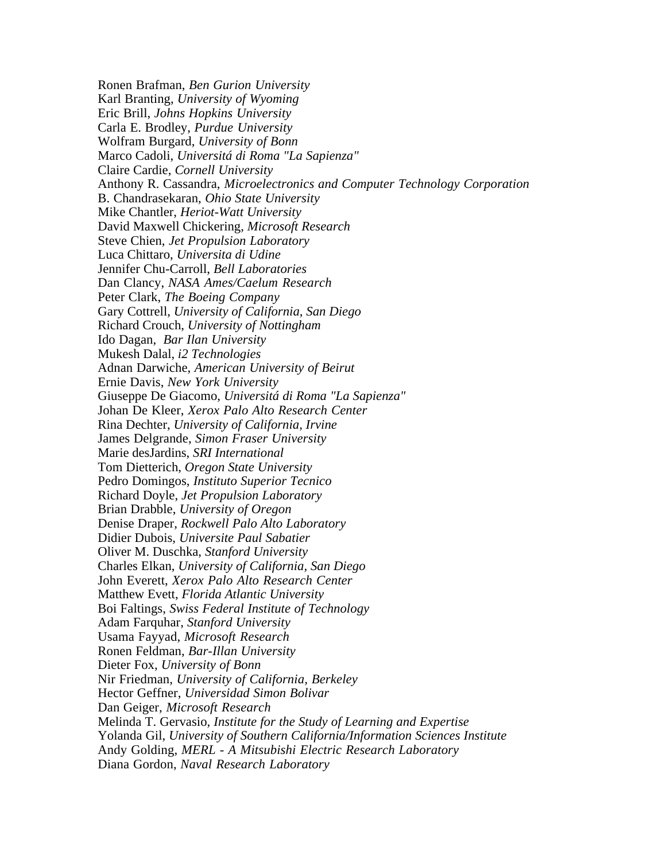Ronen Brafman, *Ben Gurion University* Karl Branting, *University of Wyoming* Eric Brill, *Johns Hopkins University* Carla E. Brodley, *Purdue University* Wolfram Burgard, *University of Bonn* Marco Cadoli, *Universitá di Roma "La Sapienza"* Claire Cardie, *Cornell University* Anthony R. Cassandra, *Microelectronics and Computer Technology Corporation* B. Chandrasekaran, *Ohio State University* Mike Chantler, *Heriot-Watt University* David Maxwell Chickering, *Microsoft Research* Steve Chien, *Jet Propulsion Laboratory* Luca Chittaro, *Universita di Udine* Jennifer Chu-Carroll, *Bell Laboratories* Dan Clancy, *NASA Ames/Caelum Research* Peter Clark, *The Boeing Company* Gary Cottrell, *University of California, San Diego* Richard Crouch, *University of Nottingham* Ido Dagan, *Bar Ilan University* Mukesh Dalal, *i2 Technologies* Adnan Darwiche, *American University of Beirut* Ernie Davis, *New York University* Giuseppe De Giacomo, *Universitá di Roma "La Sapienza"* Johan De Kleer, *Xerox Palo Alto Research Center* Rina Dechter, *University of California, Irvine* James Delgrande, *Simon Fraser University* Marie desJardins, *SRI International* Tom Dietterich, *Oregon State University* Pedro Domingos, *Instituto Superior Tecnico* Richard Doyle, *Jet Propulsion Laboratory* Brian Drabble, *University of Oregon* Denise Draper, *Rockwell Palo Alto Laboratory* Didier Dubois, *Universite Paul Sabatier* Oliver M. Duschka, *Stanford University* Charles Elkan, *University of California, San Diego* John Everett, *Xerox Palo Alto Research Center* Matthew Evett, *Florida Atlantic University* Boi Faltings, *Swiss Federal Institute of Technology* Adam Farquhar, *Stanford University* Usama Fayyad, *Microsoft Research* Ronen Feldman, *Bar-Illan University* Dieter Fox, *University of Bonn* Nir Friedman, *University of California, Berkeley* Hector Geffner, *Universidad Simon Bolivar* Dan Geiger, *Microsoft Research* Melinda T. Gervasio, *Institute for the Study of Learning and Expertise* Yolanda Gil, *University of Southern California/Information Sciences Institute* Andy Golding, *MERL - A Mitsubishi Electric Research Laboratory* Diana Gordon, *Naval Research Laboratory*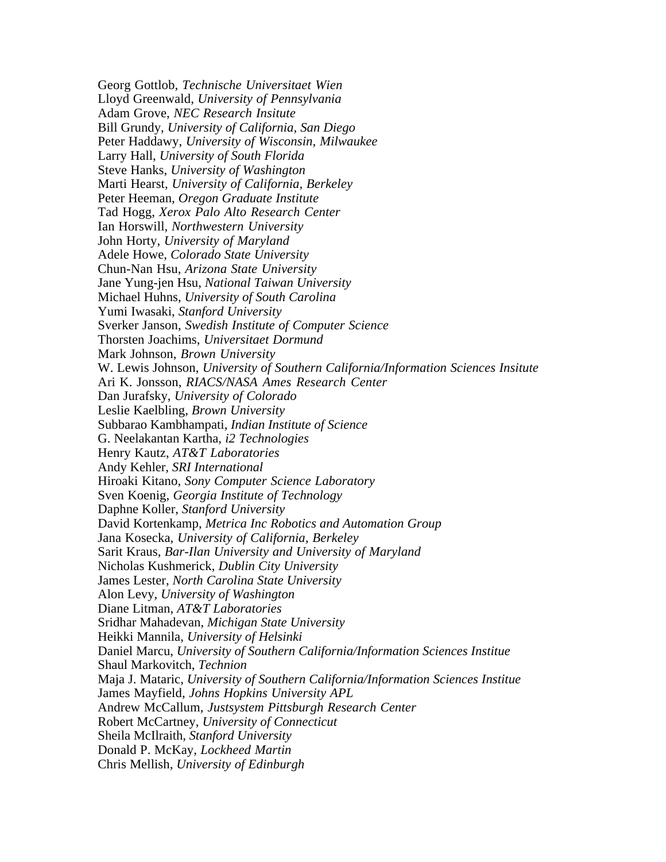Georg Gottlob, *Technische Universitaet Wien* Lloyd Greenwald, *University of Pennsylvania* Adam Grove, *NEC Research Insitute* Bill Grundy, *University of California, San Diego* Peter Haddawy, *University of Wisconsin, Milwaukee* Larry Hall, *University of South Florida* Steve Hanks, *University of Washington* Marti Hearst, *University of California, Berkeley* Peter Heeman, *Oregon Graduate Institute* Tad Hogg, *Xerox Palo Alto Research Center* Ian Horswill, *Northwestern University* John Horty, *University of Maryland* Adele Howe, *Colorado State University* Chun-Nan Hsu, *Arizona State University* Jane Yung-jen Hsu, *National Taiwan University* Michael Huhns, *University of South Carolina* Yumi Iwasaki, *Stanford University* Sverker Janson, *Swedish Institute of Computer Science* Thorsten Joachims, *Universitaet Dormund* Mark Johnson, *Brown University* W. Lewis Johnson, *University of Southern California/Information Sciences Insitute* Ari K. Jonsson, *RIACS/NASA Ames Research Center* Dan Jurafsky, *University of Colorado* Leslie Kaelbling, *Brown University* Subbarao Kambhampati, *Indian Institute of Science* G. Neelakantan Kartha, *i2 Technologies* Henry Kautz, *AT&T Laboratories* Andy Kehler, *SRI International* Hiroaki Kitano, *Sony Computer Science Laboratory* Sven Koenig, *Georgia Institute of Technology* Daphne Koller, *Stanford University* David Kortenkamp, *Metrica Inc Robotics and Automation Group* Jana Kosecka, *University of California, Berkeley* Sarit Kraus, *Bar-Ilan University and University of Maryland* Nicholas Kushmerick, *Dublin City University* James Lester, *North Carolina State University* Alon Levy, *University of Washington* Diane Litman, *AT&T Laboratories* Sridhar Mahadevan, *Michigan State University* Heikki Mannila, *University of Helsinki* Daniel Marcu, *University of Southern California/Information Sciences Institue* Shaul Markovitch, *Technion* Maja J. Mataric, *University of Southern California/Information Sciences Institue* James Mayfield, *Johns Hopkins University APL* Andrew McCallum, *Justsystem Pittsburgh Research Center* Robert McCartney, *University of Connecticut* Sheila McIlraith, *Stanford University* Donald P. McKay, *Lockheed Martin* Chris Mellish, *University of Edinburgh*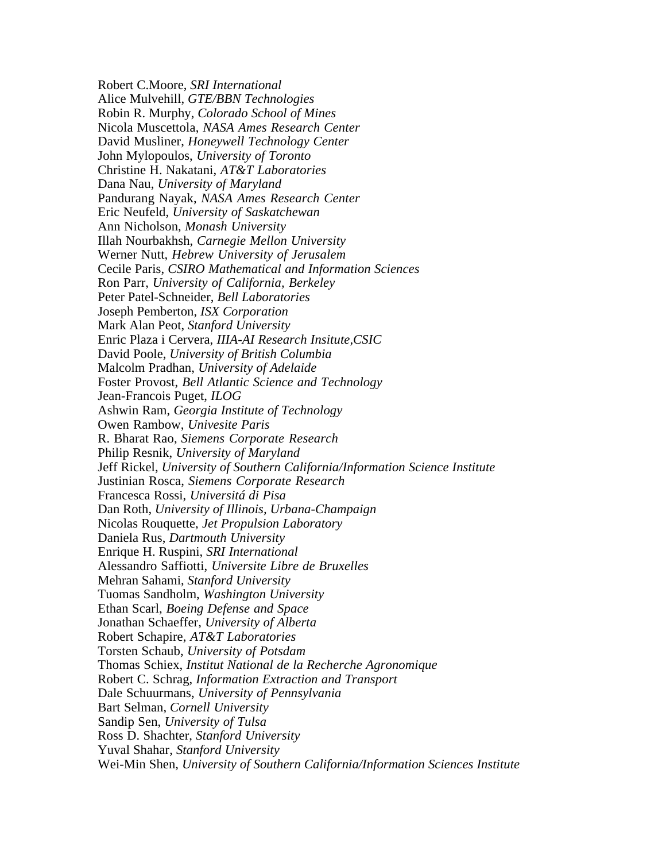Robert C.Moore, *SRI International* Alice Mulvehill, *GTE/BBN Technologies* Robin R. Murphy, *Colorado School of Mines* Nicola Muscettola, *NASA Ames Research Center* David Musliner, *Honeywell Technology Center* John Mylopoulos, *University of Toronto* Christine H. Nakatani, *AT&T Laboratories* Dana Nau, *University of Maryland* Pandurang Nayak, *NASA Ames Research Center* Eric Neufeld, *University of Saskatchewan* Ann Nicholson, *Monash University* Illah Nourbakhsh, *Carnegie Mellon University* Werner Nutt, *Hebrew University of Jerusalem* Cecile Paris, *CSIRO Mathematical and Information Sciences* Ron Parr, *University of California, Berkeley* Peter Patel-Schneider, *Bell Laboratories* Joseph Pemberton, *ISX Corporation* Mark Alan Peot, *Stanford University* Enric Plaza i Cervera, *IIIA-AI Research Insitute,CSIC* David Poole, *University of British Columbia* Malcolm Pradhan, *University of Adelaide* Foster Provost, *Bell Atlantic Science and Technology* Jean-Francois Puget, *ILOG* Ashwin Ram, *Georgia Institute of Technology* Owen Rambow, *Univesite Paris* R. Bharat Rao, *Siemens Corporate Research* Philip Resnik, *University of Maryland* Jeff Rickel, *University of Southern California/Information Science Institute* Justinian Rosca, *Siemens Corporate Research* Francesca Rossi, *Universitá di Pisa* Dan Roth, *University of Illinois, Urbana-Champaign* Nicolas Rouquette, *Jet Propulsion Laboratory* Daniela Rus, *Dartmouth University* Enrique H. Ruspini, *SRI International* Alessandro Saffiotti, *Universite Libre de Bruxelles* Mehran Sahami, *Stanford University* Tuomas Sandholm, *Washington University* Ethan Scarl, *Boeing Defense and Space* Jonathan Schaeffer, *University of Alberta* Robert Schapire, *AT&T Laboratories* Torsten Schaub, *University of Potsdam* Thomas Schiex, *Institut National de la Recherche Agronomique* Robert C. Schrag, *Information Extraction and Transport* Dale Schuurmans, *University of Pennsylvania* Bart Selman, *Cornell University* Sandip Sen, *University of Tulsa* Ross D. Shachter, *Stanford University* Yuval Shahar, *Stanford University* Wei-Min Shen, *University of Southern California/Information Sciences Institute*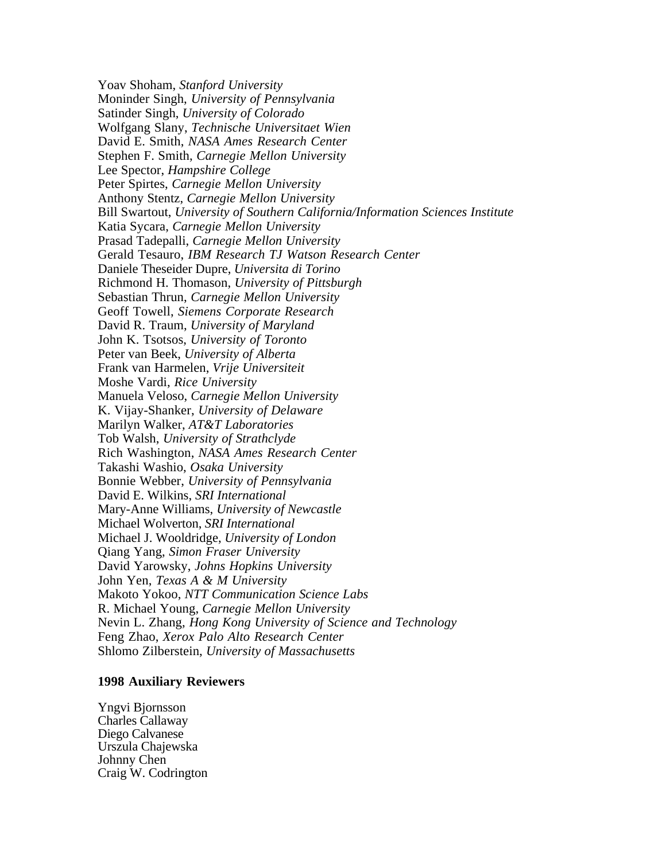Yoav Shoham, *Stanford University* Moninder Singh, *University of Pennsylvania* Satinder Singh, *University of Colorado* Wolfgang Slany, *Technische Universitaet Wien* David E. Smith, *NASA Ames Research Center* Stephen F. Smith, *Carnegie Mellon University* Lee Spector, *Hampshire College* Peter Spirtes, *Carnegie Mellon University* Anthony Stentz, *Carnegie Mellon University* Bill Swartout, *University of Southern California/Information Sciences Institute* Katia Sycara, *Carnegie Mellon University* Prasad Tadepalli, *Carnegie Mellon University* Gerald Tesauro, *IBM Research TJ Watson Research Center* Daniele Theseider Dupre, *Universita di Torino* Richmond H. Thomason, *University of Pittsburgh* Sebastian Thrun, *Carnegie Mellon University* Geoff Towell, *Siemens Corporate Research* David R. Traum, *University of Maryland* John K. Tsotsos, *University of Toronto* Peter van Beek, *University of Alberta* Frank van Harmelen, *Vrije Universiteit* Moshe Vardi, *Rice University* Manuela Veloso, *Carnegie Mellon University* K. Vijay-Shanker, *University of Delaware* Marilyn Walker, *AT&T Laboratories* Tob Walsh, *University of Strathclyde* Rich Washington, *NASA Ames Research Center* Takashi Washio, *Osaka University* Bonnie Webber, *University of Pennsylvania* David E. Wilkins, *SRI International* Mary-Anne Williams, *University of Newcastle* Michael Wolverton, *SRI International* Michael J. Wooldridge, *University of London* Qiang Yang, *Simon Fraser University* David Yarowsky, *Johns Hopkins University* John Yen, *Texas A & M University* Makoto Yokoo, *NTT Communication Science Labs* R. Michael Young, *Carnegie Mellon University* Nevin L. Zhang, *Hong Kong University of Science and Technology* Feng Zhao, *Xerox Palo Alto Research Center* Shlomo Zilberstein, *University of Massachusetts*

### **1998 Auxiliary Reviewers**

Yngvi Bjornsson Charles Callaway Diego Calvanese Urszula Chajewska Johnny Chen Craig W. Codrington